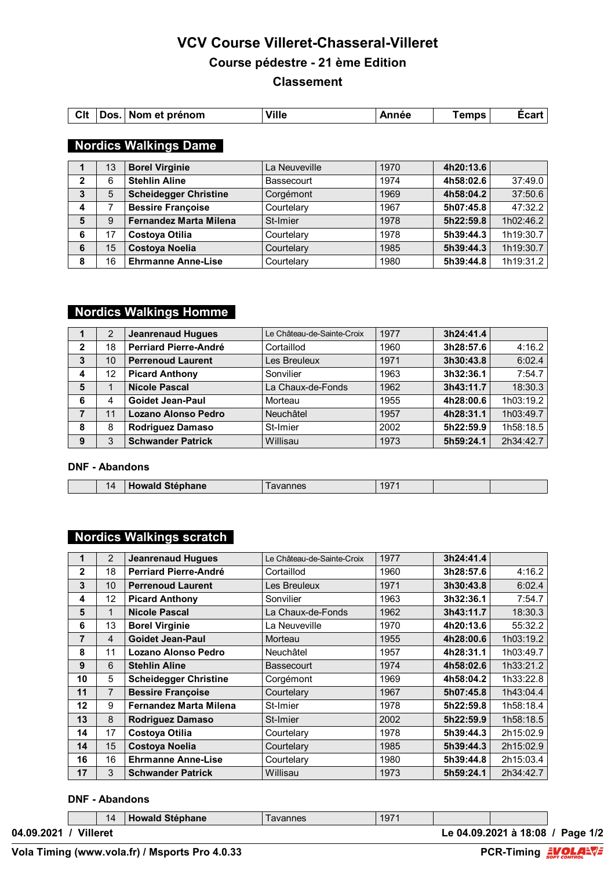# **VCV Course Villeret-Chasseral-Villeret Course pédestre - 21 ème Edition Classement**

|  |  | CIt Dos. Nom et prénom | <b>Ville</b> | Année | <b>Temps</b> | Écart |
|--|--|------------------------|--------------|-------|--------------|-------|
|--|--|------------------------|--------------|-------|--------------|-------|

## **Nordics Walkings Dame**

|              | 13 | <b>Borel Virginie</b>         | La Neuveville | 1970 | 4h20:13.6 |           |
|--------------|----|-------------------------------|---------------|------|-----------|-----------|
| $\mathbf{2}$ | 6  | <b>Stehlin Aline</b>          | Bassecourt    | 1974 | 4h58:02.6 | 37:49.0   |
| 3            | 5  | <b>Scheidegger Christine</b>  | Corgémont     | 1969 | 4h58:04.2 | 37:50.6   |
| 4            |    | <b>Bessire Françoise</b>      | Courtelary    | 1967 | 5h07:45.8 | 47:32.2   |
| 5            | 9  | <b>Fernandez Marta Milena</b> | St-Imier      | 1978 | 5h22:59.8 | 1h02:46.2 |
| 6            | 17 | Costoya Otilia                | Courtelary    | 1978 | 5h39:44.3 | 1h19:30.7 |
| 6            | 15 | <b>Costoya Noelia</b>         | Courtelary    | 1985 | 5h39:44.3 | 1h19:30.7 |
| 8            | 16 | <b>Ehrmanne Anne-Lise</b>     | Courtelary    | 1980 | 5h39:44.8 | 1h19:31.2 |

# **Nordics Walkings Homme**

|              | 2  | <b>Jeanrenaud Hugues</b>     | Le Château-de-Sainte-Croix | 1977 | 3h24:41.4 |           |
|--------------|----|------------------------------|----------------------------|------|-----------|-----------|
| $\mathbf{2}$ | 18 | <b>Perriard Pierre-André</b> | Cortaillod                 | 1960 | 3h28:57.6 | 4:16.2    |
| 3            | 10 | <b>Perrenoud Laurent</b>     | Les Breuleux               | 1971 | 3h30:43.8 | 6:02.4    |
| 4            | 12 | <b>Picard Anthony</b>        | Sonvilier                  | 1963 | 3h32:36.1 | 7:54.7    |
| 5            |    | <b>Nicole Pascal</b>         | La Chaux-de-Fonds          | 1962 | 3h43:11.7 | 18:30.3   |
| 6            | 4  | <b>Goidet Jean-Paul</b>      | Morteau                    | 1955 | 4h28:00.6 | 1h03:19.2 |
| 7            | 11 | Lozano Alonso Pedro          | Neuchâtel                  | 1957 | 4h28:31.1 | 1h03:49.7 |
| 8            | 8  | <b>Rodriguez Damaso</b>      | St-Imier                   | 2002 | 5h22:59.9 | 1h58:18.5 |
| 9            | 3  | <b>Schwander Patrick</b>     | Willisau                   | 1973 | 5h59:24.1 | 2h34:42.7 |

#### **DNF - Abandons**

|  | 14 | .<br>$- - -$<br>nane<br><b>TIME</b><br>- 1<br>$- - - - - - - - - - -$<br>_____ | . | 197<br>______ |  |  |
|--|----|--------------------------------------------------------------------------------|---|---------------|--|--|
|--|----|--------------------------------------------------------------------------------|---|---------------|--|--|

# **Nordics Walkings scratch**

| 1                 | 2              | <b>Jeanrenaud Hugues</b>      | Le Château-de-Sainte-Croix | 1977 | 3h24:41.4 |           |
|-------------------|----------------|-------------------------------|----------------------------|------|-----------|-----------|
| $\mathbf{2}$      | 18             | Perriard Pierre-André         | Cortaillod                 | 1960 | 3h28:57.6 | 4:16.2    |
| 3                 | 10             | <b>Perrenoud Laurent</b>      | Les Breuleux               | 1971 | 3h30:43.8 | 6:02.4    |
| 4                 | 12             | <b>Picard Anthony</b>         | Sonvilier                  | 1963 | 3h32:36.1 | 7:54.7    |
| 5                 | 1              | <b>Nicole Pascal</b>          | La Chaux-de-Fonds          | 1962 | 3h43:11.7 | 18:30.3   |
| 6                 | 13             | <b>Borel Virginie</b>         | La Neuveville              | 1970 | 4h20:13.6 | 55:32.2   |
| 7                 | $\overline{4}$ | <b>Goidet Jean-Paul</b>       | Morteau                    | 1955 | 4h28:00.6 | 1h03:19.2 |
| 8                 | 11             | Lozano Alonso Pedro           | <b>Neuchâtel</b>           | 1957 | 4h28:31.1 | 1h03:49.7 |
| 9                 | 6              | <b>Stehlin Aline</b>          | <b>Bassecourt</b>          | 1974 | 4h58:02.6 | 1h33:21.2 |
| 10                | 5              | <b>Scheidegger Christine</b>  | Corgémont                  | 1969 | 4h58:04.2 | 1h33:22.8 |
| 11                | $\overline{7}$ | <b>Bessire Françoise</b>      | Courtelary                 | 1967 | 5h07:45.8 | 1h43:04.4 |
| $12 \overline{ }$ | 9              | <b>Fernandez Marta Milena</b> | St-Imier                   | 1978 | 5h22:59.8 | 1h58:18.4 |
| 13                | 8              | <b>Rodriguez Damaso</b>       | St-Imier                   | 2002 | 5h22:59.9 | 1h58:18.5 |
| 14                | 17             | Costoya Otilia                | Courtelary                 | 1978 | 5h39:44.3 | 2h15:02.9 |
| 14                | 15             | <b>Costoya Noelia</b>         | Courtelary                 | 1985 | 5h39:44.3 | 2h15:02.9 |
| 16                | 16             | <b>Ehrmanne Anne-Lise</b>     | Courtelary                 | 1980 | 5h39:44.8 | 2h15:03.4 |
| 17                | 3              | <b>Schwander Patrick</b>      | Willisau                   | 1973 | 5h59:24.1 | 2h34:42.7 |

### **DNF - Abandons**

|                        |  | 14 | <b>Howald Stéphane</b> | l avannes | 1971 |                       |          |
|------------------------|--|----|------------------------|-----------|------|-----------------------|----------|
| Villeret<br>04.09.2021 |  |    |                        |           |      | Le 04.09.2021 à 18:08 | Page 1/2 |